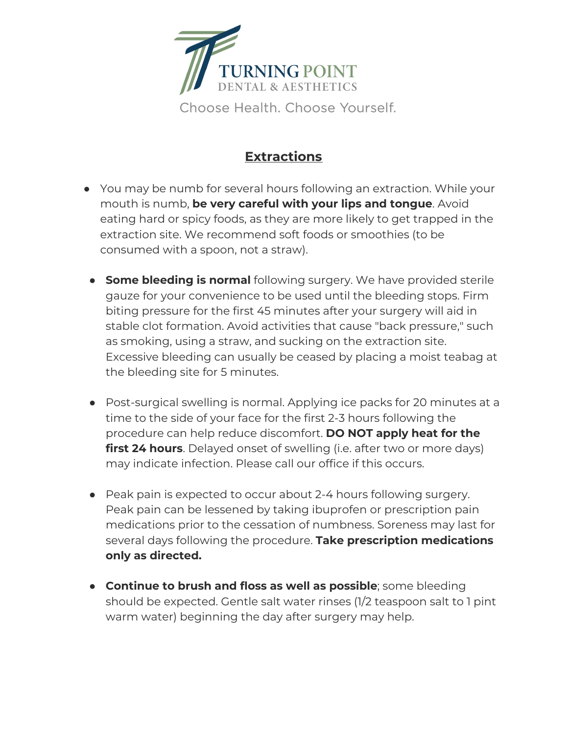

## **Extractions**

- You may be numb for several hours following an extraction. While your mouth is numb, **be very careful with your lips and tongue**. Avoid eating hard or spicy foods, as they are more likely to get trapped in the extraction site. We recommend soft foods or smoothies (to be consumed with a spoon, not a straw).
- **Some bleeding is normal** following surgery. We have provided sterile gauze for your convenience to be used until the bleeding stops. Firm biting pressure for the first 45 minutes after your surgery will aid in stable clot formation. Avoid activities that cause "back pressure," such as smoking, using a straw, and sucking on the extraction site. Excessive bleeding can usually be ceased by placing a moist teabag at the bleeding site for 5 minutes.
- Post-surgical swelling is normal. Applying ice packs for 20 minutes at a time to the side of your face for the first 2-3 hours following the procedure can help reduce discomfort. **DO NOT apply heat for the first 24 hours**. Delayed onset of swelling (i.e. after two or more days) may indicate infection. Please call our office if this occurs.
- Peak pain is expected to occur about 2-4 hours following surgery. Peak pain can be lessened by taking ibuprofen or prescription pain medications prior to the cessation of numbness. Soreness may last for several days following the procedure. **Take prescription medications only as directed.**
- **Continue to brush and floss as well as possible**; some bleeding should be expected. Gentle salt water rinses (1/2 teaspoon salt to 1 pint warm water) beginning the day after surgery may help.